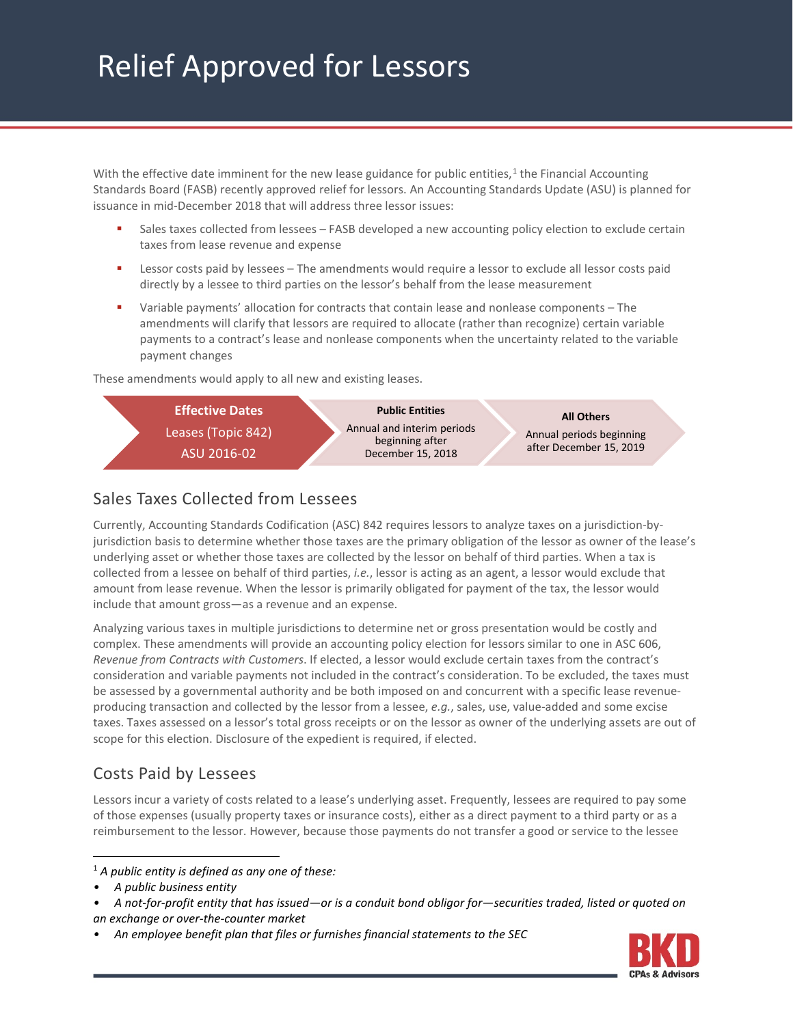# Relief Approved for Lessors

With the effective date imminent for the new lease guidance for public entities,<sup>[1](#page-0-0)</sup> the Financial Accounting Standards Board (FASB) recently approved relief for lessors. An Accounting Standards Update (ASU) is planned for issuance in mid-December 2018 that will address three lessor issues:

- Sales taxes collected from lessees FASB developed a new accounting policy election to exclude certain taxes from lease revenue and expense
- Lessor costs paid by lessees The amendments would require a lessor to exclude all lessor costs paid directly by a lessee to third parties on the lessor's behalf from the lease measurement
- Variable payments' allocation for contracts that contain lease and nonlease components The amendments will clarify that lessors are required to allocate (rather than recognize) certain variable payments to a contract's lease and nonlease components when the uncertainty related to the variable payment changes

These amendments would apply to all new and existing leases.



# Sales Taxes Collected from Lessees

Currently, Accounting Standards Codification (ASC) 842 requires lessors to analyze taxes on a jurisdiction-byjurisdiction basis to determine whether those taxes are the primary obligation of the lessor as owner of the lease's underlying asset or whether those taxes are collected by the lessor on behalf of third parties. When a tax is collected from a lessee on behalf of third parties, *i.e.*, lessor is acting as an agent, a lessor would exclude that amount from lease revenue. When the lessor is primarily obligated for payment of the tax, the lessor would include that amount gross—as a revenue and an expense.

Analyzing various taxes in multiple jurisdictions to determine net or gross presentation would be costly and complex. These amendments will provide an accounting policy election for lessors similar to one in ASC 606, *Revenue from Contracts with Customers*. If elected, a lessor would exclude certain taxes from the contract's consideration and variable payments not included in the contract's consideration. To be excluded, the taxes must be assessed by a governmental authority and be both imposed on and concurrent with a specific lease revenueproducing transaction and collected by the lessor from a lessee, *e.g.*, sales, use, value-added and some excise taxes. Taxes assessed on a lessor's total gross receipts or on the lessor as owner of the underlying assets are out of scope for this election. Disclosure of the expedient is required, if elected.

# Costs Paid by Lessees

Lessors incur a variety of costs related to a lease's underlying asset. Frequently, lessees are required to pay some of those expenses (usually property taxes or insurance costs), either as a direct payment to a third party or as a reimbursement to the lessor. However, because those payments do not transfer a good or service to the lessee



<span id="page-0-0"></span> <sup>1</sup> *A public entity is defined as any one of these:*

*<sup>•</sup> A public business entity*

*<sup>•</sup> A not-for-profit entity that has issued—or is a conduit bond obligor for—securities traded, listed or quoted on an exchange or over-the-counter market*

*<sup>•</sup> An employee benefit plan that files or furnishes financial statements to the SEC*